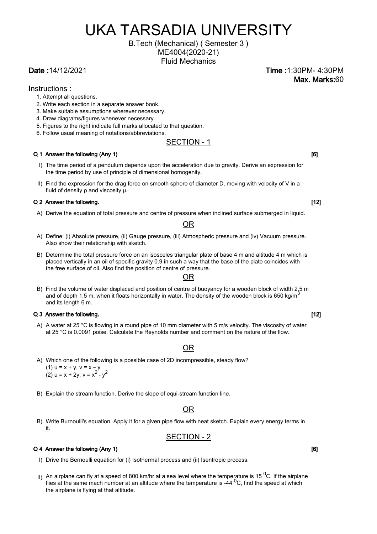# UKA TARSADIA UNIVERSITY

#### B.Tech (Mechanical) ( Semester 3 ) ME4004(2020-21)

Fluid Mechanics

Instructions :

- 1. Attempt all questions.
- 2. Write each section in a separate answer book.
- 3. Make suitable assumptions wherever necessary.
- 4. Draw diagrams/figures whenever necessary.
- 5. Figures to the right indicate full marks allocated to that question.
- 6. Follow usual meaning of notations/abbreviations.

#### SECTION - 1

#### Q 1 Answer the following (Any 1) [6]

- I) The time period of a pendulum depends upon the acceleration due to gravity. Derive an expression for the time period by use of principle of dimensional homogenity.
- II) Find the expression for the drag force on smooth sphere of diameter D, moving with velocity of V in a fluid of density ρ and viscosity μ.

#### Q 2 Answer the following. [12]

A) Derive the equation of total pressure and centre of pressure when inclined surface submerged in liquid.

#### OR

- A) Define: (i) Absolute pressure, (ii) Gauge pressure, (iii) Atmospheric pressure and (iv) Vacuum pressure. Also show their relationship with sketch.
- B) Determine the total pressure force on an isosceles triangular plate of base 4 m and altitude 4 m which is placed vertically in an oil of specific gravity 0.9 in such a way that the base of the plate coincides with the free surface of oil. Also find the position of centre of pressure.

## OR B) Find the volume of water displaced and position of centre of buoyancy for a wooden block of width 2.5 m

and of depth 1.5 m, when it floats horizontally in water. The density of the wooden block is 650 kg/m<sup>3</sup> and its length 6 m.

#### Q 3 Answer the following. [12]

A) A water at 25 °C is flowing in a round pipe of 10 mm diameter with 5 m/s velocity. The viscosity of water at 25 °C is 0.0091 poise. Calculate the Reynolds number and comment on the nature of the flow.

#### OR

A) Which one of the following is a possible case of 2D incompressible, steady flow?

 $(1)$  u = x + y, v = x - y  $(2)$  u = x + 2y, v = x<sup>2</sup> - y<sup>2</sup>

B) Explain the stream function. Derive the slope of equi-stream function line.

#### OR

B) Write Burnoulli's equation. Apply it for a given pipe flow with neat sketch. Explain every energy terms in it.

#### SECTION - 2

#### Q 4 Answer the following (Any 1) [6]

- I) Drive the Bernoulli equation for (i) Isothermal process and (ii) Isentropic process.
- II) An airplane can fly at a speed of 800 km/hr at a sea level where the temperature is 15<sup>0</sup>C. If the airplane flies at the same mach number at an altitude where the temperature is -44  $^{0}$ C, find the speed at which the airplane is flying at that altitude.

#### Date :14/12/2021 Time :1:30PM- 4:30PM Max. Marks:60